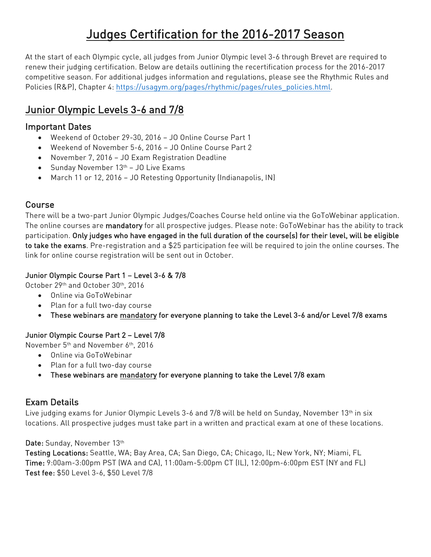# Judges Certification for the 2016-2017 Season

At the start of each Olympic cycle, all judges from Junior Olympic level 3-6 through Brevet are required to renew their judging certification. Below are details outlining the recertification process for the 2016-2017 competitive season. For additional judges information and regulations, please see the Rhythmic Rules and Policies (R&P), Chapter 4: https://usagym.org/pages/rhythmic/pages/rules\_policies.html.

## Junior Olympic Levels 3-6 and 7/8

### Important Dates

- Weekend of October 29-30, 2016 JO Online Course Part 1
- Weekend of November 5-6, 2016 JO Online Course Part 2
- November 7, 2016 JO Exam Registration Deadline
- Sunday November 13<sup>th</sup> JO Live Exams
- March 11 or 12, 2016 JO Retesting Opportunity (Indianapolis, IN)

### Course

There will be a two-part Junior Olympic Judges/Coaches Course held online via the GoToWebinar application. The online courses are mandatory for all prospective judges. Please note: GoToWebinar has the ability to track participation. Only judges who have engaged in the full duration of the course(s) for their level, will be eligible to take the exams. Pre-registration and a \$25 participation fee will be required to join the online courses. The link for online course registration will be sent out in October.

#### Junior Olympic Course Part 1 – Level 3-6 & 7/8

October 29th and October 30th, 2016

- Online via GoToWebinar
- Plan for a full two-day course
- These webinars are mandatory for everyone planning to take the Level 3-6 and/or Level 7/8 exams

#### Junior Olympic Course Part 2 – Level 7/8

November 5th and November 6th, 2016

- Online via GoToWebinar
- Plan for a full two-day course
- These webinars are mandatory for everyone planning to take the Level 7/8 exam

### Exam Details

Live judging exams for Junior Olympic Levels 3-6 and 7/8 will be held on Sunday, November 13<sup>th</sup> in six locations. All prospective judges must take part in a written and practical exam at one of these locations.

#### Date: Sunday, November 13th

Testing Locations: Seattle, WA; Bay Area, CA; San Diego, CA; Chicago, IL; New York, NY; Miami, FL Time: 9:00am-3:00pm PST (WA and CA), 11:00am-5:00pm CT (IL), 12:00pm-6:00pm EST (NY and FL) Test fee: \$50 Level 3-6, \$50 Level 7/8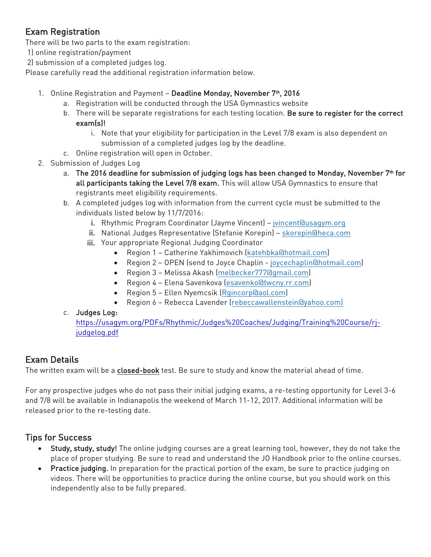## Exam Registration

There will be two parts to the exam registration:

1) online registration/payment

2) submission of a completed judges log.

Please carefully read the additional registration information below.

- 1. Online Registration and Payment Deadline Monday, November 7<sup>th</sup>, 2016
	- a. Registration will be conducted through the USA Gymnastics website
	- b. There will be separate registrations for each testing location. Be sure to register for the correct exam(s)!
		- i. Note that your eligibility for participation in the Level 7/8 exam is also dependent on submission of a completed judges log by the deadline.
	- c. Online registration will open in October.
- 2. Submission of Judges Log
	- a. The 2016 deadline for submission of judging logs has been changed to Monday, November 7<sup>th</sup> for all participants taking the Level 7/8 exam. This will allow USA Gymnastics to ensure that registrants meet eligibility requirements.
	- b. A completed judges log with information from the current cycle must be submitted to the individuals listed below by 11/7/2016:
		- i. Rhythmic Program Coordinator (Jayme Vincent) jvincent@usagym.org
		- ii. National Judges Representative (Stefanie Korepin) skorepin@heca.com
		- iii. Your appropriate Regional Judging Coordinator
			- Region 1 Catherine Yakhimovich (katehbka@hotmail.com)
			- Region 2 OPEN (send to Joyce Chaplin joycechaplin@hotmail.com)
			- Region 3 Melissa Akash (melbecker777@gmail.com)
			- Region 4 Elena Savenkova (esavenko@twcny.rr.com)
			- Region 5 Ellen Nyemcsik (Rgincorp@aol.com)
			- Region 6 Rebecca Lavender (rebeccawallenstein@yahoo.com)

#### c. Judges Log:

https://usagym.org/PDFs/Rhythmic/Judges%20Coaches/Judging/Training%20Course/rjjudgelog.pdf

## Exam Details

The written exam will be a closed-book test. Be sure to study and know the material ahead of time.

For any prospective judges who do not pass their initial judging exams, a re-testing opportunity for Level 3-6 and 7/8 will be available in Indianapolis the weekend of March 11-12, 2017. Additional information will be released prior to the re-testing date.

## Tips for Success

- Study, study, study! The online judging courses are a great learning tool, however, they do not take the place of proper studying. Be sure to read and understand the JO Handbook prior to the online courses.
- Practice judging. In preparation for the practical portion of the exam, be sure to practice judging on videos. There will be opportunities to practice during the online course, but you should work on this independently also to be fully prepared.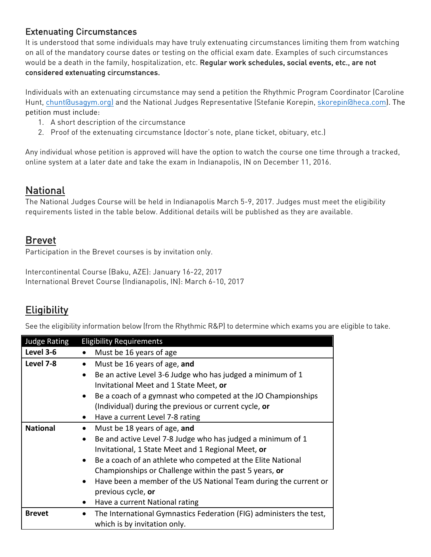## Extenuating Circumstances

It is understood that some individuals may have truly extenuating circumstances limiting them from watching on all of the mandatory course dates or testing on the official exam date. Examples of such circumstances would be a death in the family, hospitalization, etc. Regular work schedules, social events, etc., are not considered extenuating circumstances.

Individuals with an extenuating circumstance may send a petition the Rhythmic Program Coordinator (Caroline Hunt, chunt@usagym.org) and the National Judges Representative (Stefanie Korepin, skorepin@heca.com). The petition must include:

- 1. A short description of the circumstance
- 2. Proof of the extenuating circumstance (doctor's note, plane ticket, obituary, etc.)

Any individual whose petition is approved will have the option to watch the course one time through a tracked, online system at a later date and take the exam in Indianapolis, IN on December 11, 2016.

## **National**

The National Judges Course will be held in Indianapolis March 5-9, 2017. Judges must meet the eligibility requirements listed in the table below. Additional details will be published as they are available.

## Brevet

Participation in the Brevet courses is by invitation only.

Intercontinental Course (Baku, AZE): January 16-22, 2017 International Brevet Course (Indianapolis, IN): March 6-10, 2017

## **Eligibility**

See the eligibility information below (from the Rhythmic R&P) to determine which exams you are eligible to take.

| <b>Judge Rating</b> | <b>Eligibility Requirements</b>                                               |
|---------------------|-------------------------------------------------------------------------------|
| Level 3-6           | Must be 16 years of age                                                       |
| Level 7-8           | Must be 16 years of age, and<br>$\bullet$                                     |
|                     | Be an active Level 3-6 Judge who has judged a minimum of 1                    |
|                     | Invitational Meet and 1 State Meet, or                                        |
|                     | Be a coach of a gymnast who competed at the JO Championships<br>$\bullet$     |
|                     | (Individual) during the previous or current cycle, or                         |
|                     | Have a current Level 7-8 rating<br>$\bullet$                                  |
| <b>National</b>     | Must be 18 years of age, and                                                  |
|                     | Be and active Level 7-8 Judge who has judged a minimum of 1<br>$\bullet$      |
|                     | Invitational, 1 State Meet and 1 Regional Meet, or                            |
|                     | • Be a coach of an athlete who competed at the Elite National                 |
|                     | Championships or Challenge within the past 5 years, or                        |
|                     | Have been a member of the US National Team during the current or<br>$\bullet$ |
|                     | previous cycle, or                                                            |
|                     | Have a current National rating<br>٠                                           |
| <b>Brevet</b>       | The International Gymnastics Federation (FIG) administers the test,           |
|                     | which is by invitation only.                                                  |